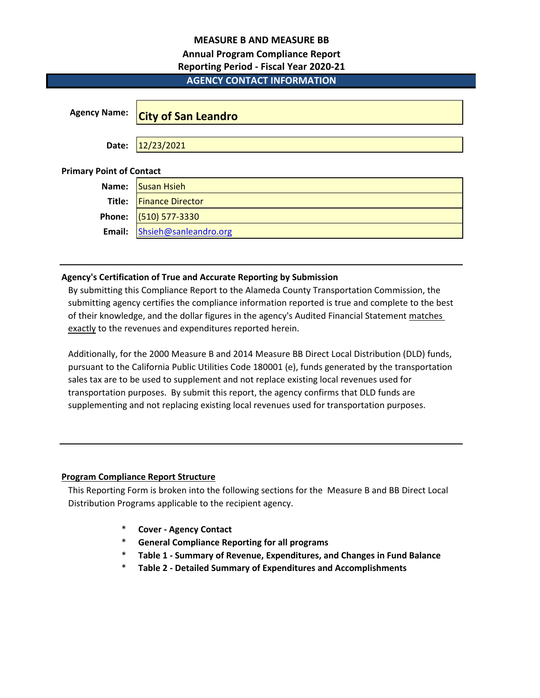# **MEASURE B AND MEASURE BB**

# **Annual Program Compliance Report**

# **Reporting Period - Fiscal Year 2020-21**

# **AGENCY CONTACT INFORMATION**

| <b>Agency Name:</b>             | <b>City of San Leandro</b> |
|---------------------------------|----------------------------|
| Date:                           | 12/23/2021                 |
| <b>Primary Point of Contact</b> |                            |
| Name:                           | <b>Susan Hsieh</b>         |
| Title:                          | <b>Finance Director</b>    |
| Phone:                          | (510) 577-3330             |
| Email:                          | Shsieh@sanleandro.org      |

# **Agency's Certification of True and Accurate Reporting by Submission**

By submitting this Compliance Report to the Alameda County Transportation Commission, the submitting agency certifies the compliance information reported is true and complete to the best of their knowledge, and the dollar figures in the agency's Audited Financial Statement matches exactly to the revenues and expenditures reported herein.

Additionally, for the 2000 Measure B and 2014 Measure BB Direct Local Distribution (DLD) funds, pursuant to the California Public Utilities Code 180001 (e), funds generated by the transportation sales tax are to be used to supplement and not replace existing local revenues used for transportation purposes. By submit this report, the agency confirms that DLD funds are supplementing and not replacing existing local revenues used for transportation purposes.

# **Program Compliance Report Structure**

This Reporting Form is broken into the following sections for the Measure B and BB Direct Local Distribution Programs applicable to the recipient agency.

- \* **Cover Agency Contact**
- \* **General Compliance Reporting for all programs**
- \* **Table 1 Summary of Revenue, Expenditures, and Changes in Fund Balance**
- \* **Table 2 Detailed Summary of Expenditures and Accomplishments**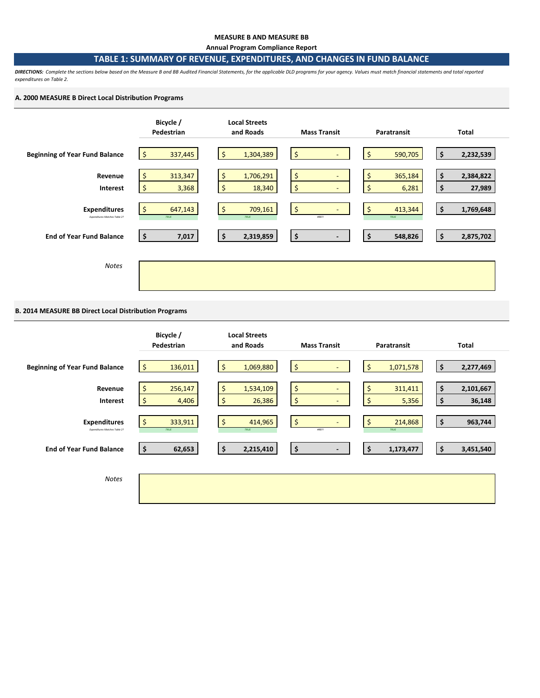#### **MEASURE B AND MEASURE BB**

**Annual Program Compliance Report**

### **TABLE 1: SUMMARY OF REVENUE, EXPENDITURES, AND CHANGES IN FUND BALANCE**

*DIRECTIONS: Complete the sections below based on the Measure B and BB Audited Financial Statements, for the applicable DLD programs for your agency. Values must match financial statements and total reported expenditures on Table 2.* 

## **A. 2000 MEASURE B Direct Local Distribution Programs**



## **B. 2014 MEASURE BB Direct Local Distribution Programs**

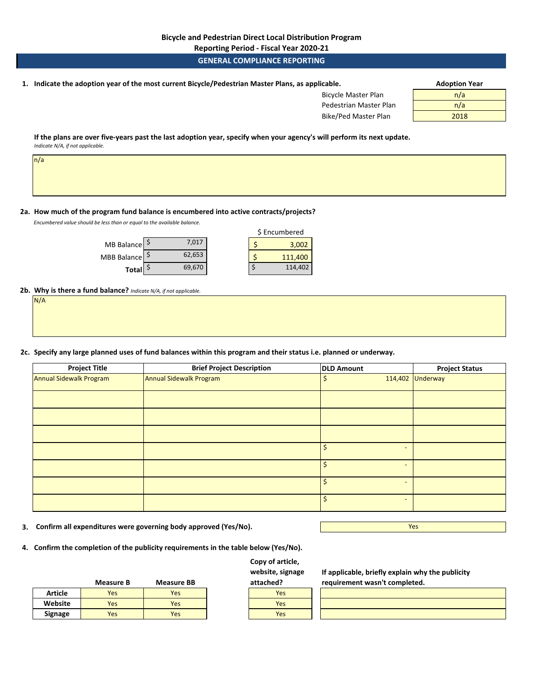**Reporting Period - Fiscal Year 2020-21**

## **GENERAL COMPLIANCE REPORTING**

**1. Adoption Year Indicate the adoption year of the most current Bicycle/Pedestrian Master Plans, as applicable.** 

| <b>Bicycle Master Plan</b> | n/a  |
|----------------------------|------|
| Pedestrian Master Plan     | n/a  |
| Bike/Ped Master Plan       | 2018 |

**If the plans are over five-years past the last adoption year, specify when your agency's will perform its next update.**  *Indicate N/A, if not applicable.* 

n/a

#### **2a. How much of the program fund balance is encumbered into active contracts/projects?**

*Encumbered value should be less than or equal to the available balance.* 

| MB Balance   S            | 7.017  |  | 3,002   |
|---------------------------|--------|--|---------|
| MBB Balance $\frac{5}{7}$ | 62,653 |  | 111,400 |
| <b>Total</b>              | 69,670 |  | 114,402 |

|  | \$ Encumbered |
|--|---------------|
|  | 3,002         |
|  | 111,400       |
|  | 114,402       |

**2b. Why is there a fund balance?** *Indicate N/A, if not applicable.*  N/A

| IN/A |  |
|------|--|
|      |  |
|      |  |
|      |  |
|      |  |
|      |  |
|      |  |

**2c. Specify any large planned uses of fund balances within this program and their status i.e. planned or underway.**

| <b>Project Title</b>    | <b>Brief Project Description</b> | <b>DLD Amount</b> |                          | <b>Project Status</b> |
|-------------------------|----------------------------------|-------------------|--------------------------|-----------------------|
| Annual Sidewalk Program | Annual Sidewalk Program          | \$                | 114,402                  | Underway              |
|                         |                                  |                   |                          |                       |
|                         |                                  |                   |                          |                       |
|                         |                                  |                   |                          |                       |
|                         |                                  | \$                | $\overline{a}$           |                       |
|                         |                                  | $\mathsf{S}$      | $\overline{a}$           |                       |
|                         |                                  | \$                | $\overline{\phantom{0}}$ |                       |
|                         |                                  | Ś                 | $\overline{\phantom{0}}$ |                       |

- **3. Confirm all expenditures were governing body approved (Yes/No).**
- **4. Confirm the completion of the publicity requirements in the table below (Yes/No).**

|                | <b>Measure B</b> | <b>Measure BB</b> | attached? |
|----------------|------------------|-------------------|-----------|
| <b>Article</b> | <b>Yes</b>       | Yes               | Yes       |
| Website        | <b>Yes</b>       | Yes               | Yes       |
| Signage        | Yes              | Yes               | Yes       |

## **Copy of article, website, signage attached?**



**If applicable, briefly explain why the publicity requirement wasn't completed.** 

Yes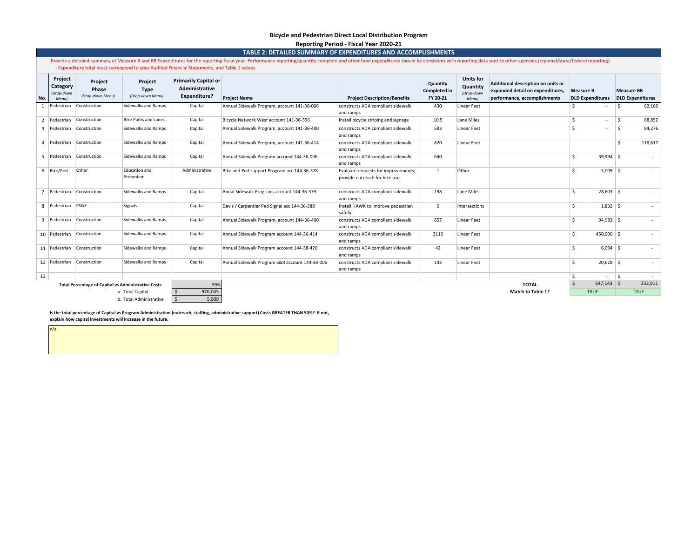#### **Bicycle and Pedestrian Direct Local Distribution Program Reporting Period - Fiscal Year 2020-21**

**TABLE 2: DETAILED SUMMARY OF EXPENDITURES AND ACCOMPLISHMENTS**

Provide a detailed summary of Measure B and BB Expenditures for the reporting fiscal year. Performance reporting/quantity complete and other fund expenditures should be consistent with reporting data sent to other agencies - Expenditure total must correspond to your Audited Financial Statements, and Table 1 values.

| No.            | Project<br>Category<br>(Drop-down<br>Menu) | Project<br>Phase<br>(Drop-down Menu)                       | Project<br><b>Type</b><br>(Drop-down Menu) | <b>Primarily Capital or</b><br>Administrative<br><b>Expenditure?</b> | <b>Project Name</b>                            | <b>Project Description/Benefits</b>                                  | Quantity<br><b>Completed in</b><br>FY 20-21 | <b>Units for</b><br>Quantity<br>(Drop-down<br><b>Menul</b> | Additional description on units or<br>expanded detail on expenditures.<br>performance, accomplishments | <b>Measure B</b>   | <b>DLD Expenditures</b>  | <b>Measure BB</b><br><b>DLD Expenditures</b> |         |
|----------------|--------------------------------------------|------------------------------------------------------------|--------------------------------------------|----------------------------------------------------------------------|------------------------------------------------|----------------------------------------------------------------------|---------------------------------------------|------------------------------------------------------------|--------------------------------------------------------------------------------------------------------|--------------------|--------------------------|----------------------------------------------|---------|
| -1             | Pedestrian                                 | Construction                                               | Sidewalks and Ramps                        | Capital                                                              | Annual Sidewalk Program, account 141-36-006    | constructs ADA compliant sidewalk<br>and ramps                       | 430                                         | Linear Feet                                                |                                                                                                        |                    |                          |                                              | 62,166  |
| $\overline{2}$ | Pedestrian                                 | Construction                                               | Bike Paths and Lanes                       | Capital                                                              | Bicycle Network West account 141-36-356        | install bicycle striping and signage                                 | 10.5                                        | Lane Miles                                                 |                                                                                                        | \$                 | $\sim$                   | Ŝ.                                           | 68,852  |
|                | 3 Pedestrian                               | Construction                                               | Sidewalks and Ramps                        | Capital                                                              | Annual Sidewalk Program, account 141-36-400    | constructs ADA compliant sidewalk<br>and ramps                       | 583                                         | Linear Feet                                                |                                                                                                        | Ś                  | $\overline{\phantom{a}}$ | $\dot{\mathbf{s}}$                           | 84,276  |
| 4              | Pedestrian                                 | Construction                                               | Sidewalks and Ramps                        | Capital                                                              | Annual Sidewalk Program, account 141-36-414    | constructs ADA compliant sidewalk<br>and ramps                       | 820                                         | Linear Feet                                                |                                                                                                        |                    |                          | $\hat{\zeta}$                                | 118,617 |
|                | 5 Pedestrian                               | Construction                                               | Sidewalks and Ramps                        | Capital                                                              | Annual Sidewalk Program account 144-36-006     | constructs ADA compliant sidewalk<br>and ramps                       | 640                                         |                                                            |                                                                                                        | Ś                  | $39,994$ \$              |                                              |         |
|                | 6 Bike/Ped                                 | Other                                                      | Education and<br>Promotion                 | Administrative                                                       | Bike and Ped support Program acc 144-36-378    | Evaluate requests for improvements,<br>provide outreach for bike use | 1                                           | Other                                                      |                                                                                                        | \$.                | $5,009$ \$               |                                              |         |
|                | Pedestrian                                 | Construction                                               | Sidewalks and Ramps                        | Capital                                                              | Anual Sidewalk Program, account 144-36-379     | constructs ADA compliant sidewalk<br>and ramps                       | 198                                         | Lane Miles                                                 |                                                                                                        | Ś                  | $28,603$ \$              |                                              |         |
|                | 8 Pedestrian                               | PS&E                                                       | Signals                                    | Capital                                                              | Davis / Carpentier Ped Signal acc 144-36-388   | Install HAWK to improve pedestrian<br>safety                         | 0                                           | Intersections                                              |                                                                                                        | Ś                  | $1,832$ \$               |                                              | $\sim$  |
|                | 9 Pedestrian                               | Construction                                               | Sidewalks and Ramps                        | Capital                                                              | Annual Sidewalk Program, account 144-36-400    | constructs ADA compliant sidewalk<br>and ramps                       | 657                                         | Linear Feet                                                |                                                                                                        | Ś                  | $94,983$ \$              |                                              | $\sim$  |
|                | 10 Pedestrian                              | Construction                                               | Sidewalks and Ramps                        | Capital                                                              | Annual Sidewalk Program account 144-36-414     | constructs ADA compliant sidewalk<br>and ramps                       | 3110                                        | Linear Feet                                                |                                                                                                        | $\mathsf{\hat{S}}$ | $450,000$ \$             |                                              |         |
|                | 11 Pedestrian                              | Construction                                               | Sidewalks and Ramps                        | Capital                                                              | Annual Sidewalk Program account 144-38-420     | constructs ADA compliant sidewalk<br>and ramps                       | 42                                          | Linear Feet                                                |                                                                                                        | Ś                  | $6,094$ \$               |                                              | $\sim$  |
|                | 12 Pedestrian                              | Construction                                               | Sidewalks and Ramps                        | Capital                                                              | Annual Sidewalk Program S&R account 144-38-006 | constructs ADA compliant sidewalk<br>and ramps                       | 143                                         | Linear Feet                                                |                                                                                                        | Ś                  | $20,628$ \$              |                                              |         |
| 13             |                                            |                                                            |                                            |                                                                      |                                                |                                                                      |                                             |                                                            |                                                                                                        | Ŝ.                 | $\overline{\phantom{a}}$ | S.                                           |         |
|                |                                            | <b>Total Percentage of Capital vs Administrative Costs</b> |                                            | 99%                                                                  |                                                |                                                                      |                                             |                                                            | <b>TOTAL</b>                                                                                           | $\mathsf{S}$       | $647,143$ \$             |                                              | 333,911 |
|                |                                            |                                                            | a. Total Capital                           | 976,045                                                              |                                                |                                                                      |                                             |                                                            | <b>Match to Table 1?</b>                                                                               |                    | <b>TRUE</b>              | <b>TRUE</b>                                  |         |
|                |                                            |                                                            | b. Total Administrative                    | 5,009                                                                |                                                |                                                                      |                                             |                                                            |                                                                                                        |                    |                          |                                              |         |

**Is the total percentage of Capital vs Program Administration (outreach, staffing, administrative support) Costs GREATER THAN 50%? If not, explain how capital investments will increase in the future.**

n/a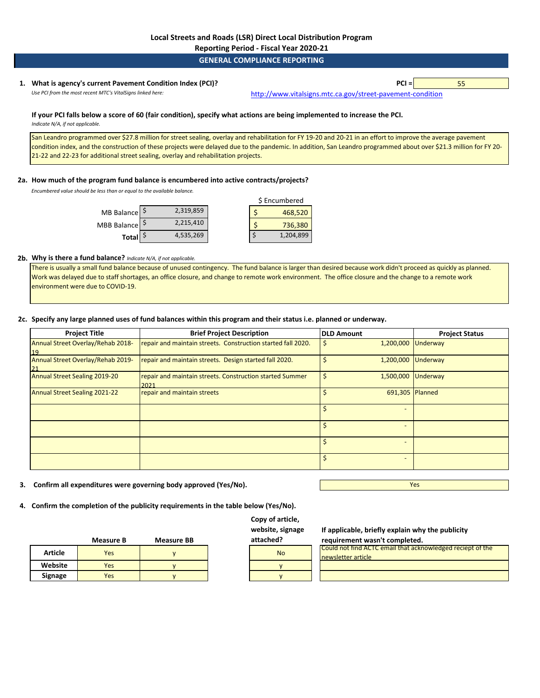#### **GENERAL COMPLIANCE REPORTING**

### **1. PCI =** 55 **What is agency's current Pavement Condition Index (PCI)?**  Use PCI from the most recent MTC's VitalSigns linked here: [http://www.vitalsig](http://www.vitalsigns.mtc.ca.gov/street-pavement-condition)ns.mtc.ca.gov/street-pavement-condition

**If your PCI falls below a score of 60 (fair condition), specify what actions are being implemented to increase the PCI.**  *Indicate N/A, if not applicable.* 

San Leandro programmed over \$27.8 million for street sealing, overlay and rehabilitation for FY 19-20 and 20-21 in an effort to improve the average pavement condition index, and the construction of these projects were delayed due to the pandemic. In addition, San Leandro programmed about over \$21.3 million for FY 20- 21-22 and 22-23 for additional street sealing, overlay and rehabilitation projects.

#### **2a. How much of the program fund balance is encumbered into active contracts/projects?**

*Encumbered value should be less than or equal to the available balance.* 

|             |           | \$ Encumbered |           |  |
|-------------|-----------|---------------|-----------|--|
| MB Balance  | 2,319,859 |               | 468,520   |  |
| MBB Balance | 2,215,410 |               | 736,380   |  |
| Total       | 4,535,269 |               | 1,204,899 |  |

### **2b. Why is there a fund balance?** *Indicate N/A, if not applicable.*

There is usually a small fund balance because of unused contingency. The fund balance is larger than desired because work didn't proceed as quickly as planned. Work was delayed due to staff shortages, an office closure, and change to remote work environment. The office closure and the change to a remote work environment were due to COVID-19.

#### **2c. Specify any large planned uses of fund balances within this program and their status i.e. planned or underway.**

| <b>Project Title</b>                    | <b>Brief Project Description</b>                                 | <b>DLD Amount</b> | <b>Project Status</b> |
|-----------------------------------------|------------------------------------------------------------------|-------------------|-----------------------|
| Annual Street Overlay/Rehab 2018-<br>19 | repair and maintain streets. Construction started fall 2020.     | \$                | 1,200,000 Underway    |
| Annual Street Overlay/Rehab 2019-       | repair and maintain streets. Design started fall 2020.           |                   | 1,200,000 Underway    |
| Annual Street Sealing 2019-20           | repair and maintain streets. Construction started Summer<br>2021 | \$                | 1,500,000 Underway    |
| <b>Annual Street Sealing 2021-22</b>    | repair and maintain streets                                      | \$                | 691,305 Planned       |
|                                         |                                                                  | \$                |                       |
|                                         |                                                                  | \$                |                       |
|                                         |                                                                  | \$                |                       |
|                                         |                                                                  | \$                |                       |

**3. Confirm all expenditures were governing body approved (Yes/No).**

Yes

**4. Confirm the completion of the publicity requirements in the table below (Yes/No).**

|                | <b>Measure B</b> | <b>Measure BB</b> | attached? |
|----------------|------------------|-------------------|-----------|
| <b>Article</b> | Yes              |                   | <b>No</b> |
| Website        | Yes              |                   |           |
| Signage        | Yes              |                   |           |

**Copy of article, website, signage attached?**

| <b>No</b> |
|-----------|
|           |
|           |

**If applicable, briefly explain why the publicity requirement wasn't completed.**

| Could not find ACTC email that acknowledged reciept of the |  |
|------------------------------------------------------------|--|
| newsletter article                                         |  |
|                                                            |  |
|                                                            |  |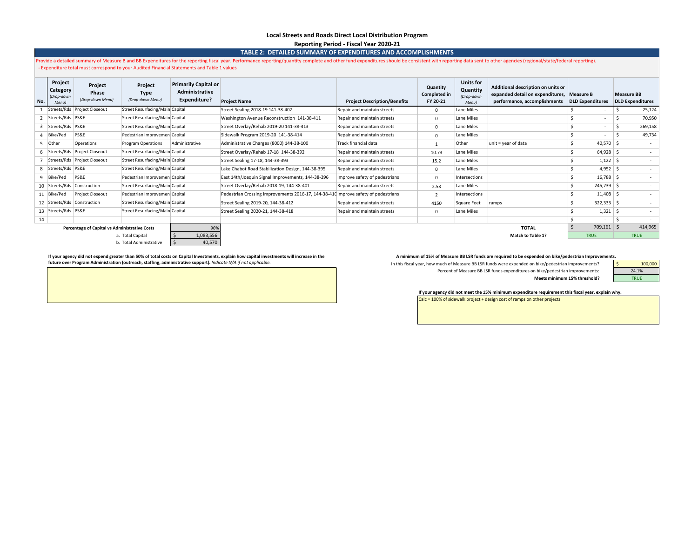#### **Local Streets and Roads Direct Local Distribution Program Reporting Period - Fiscal Year 2020-21**

**TABLE 2: DETAILED SUMMARY OF EXPENDITURES AND ACCOMPLISHMENTS**

Provide a detailed summary of Measure B and BB Expenditures for the reporting fiscal year. Performance reporting/quantity complete and other fund expenditures should be consistent with reporting data sent to other agencies - Expenditure total must correspond to your Audited Financial Statements and Table 1 values

| No.                                                         | Project<br>Category<br>(Drop-down<br>Menu | Project<br>Phase<br>(Drop-down Menu)  | Project<br><b>Type</b><br>(Drop-down Menu) | <b>Primarily Capital or</b><br>Administrative<br>Expenditure? | <b>Project Name</b>                                                                | <b>Project Description/Benefits</b> | Quantity<br><b>Completed in</b><br>FY 20-21 | <b>Units for</b><br>Quantity<br>(Drop-down<br>Menu) | Additional description on units or<br>expanded detail on expenditures, Measure B<br>performance, accomplishments | <b>DLD Expenditures</b> |              | <b>Measure BB</b> | <b>DLD Expenditures</b> |
|-------------------------------------------------------------|-------------------------------------------|---------------------------------------|--------------------------------------------|---------------------------------------------------------------|------------------------------------------------------------------------------------|-------------------------------------|---------------------------------------------|-----------------------------------------------------|------------------------------------------------------------------------------------------------------------------|-------------------------|--------------|-------------------|-------------------------|
|                                                             |                                           | Streets/Rds Project Closeout          | Street Resurfacing/Main Capital            |                                                               | Street Sealing 2018-19 141-38-402                                                  | Repair and maintain streets         | n.                                          | Lane Miles                                          |                                                                                                                  |                         |              |                   | 25,124                  |
|                                                             | Streets/Rds PS&E                          |                                       | Street Resurfacing/Main Capital            |                                                               | Washington Avenue Reconstruction 141-38-411                                        | Repair and maintain streets         | 0                                           | Lane Miles                                          |                                                                                                                  |                         |              |                   | 70,950                  |
|                                                             | Streets/Rds PS&E                          |                                       | Street Resurfacing/Main Capital            |                                                               | Street Overlav/Rehab 2019-20 141-38-413                                            | Repair and maintain streets         | 0                                           | Lane Miles                                          |                                                                                                                  |                         |              |                   | 269,158                 |
|                                                             | Bike/Ped                                  | PS&E<br>Pedestrian Improvemen Capital |                                            |                                                               | Sidewalk Program 2019-20 141-38-414                                                | Repair and maintain streets         | 0                                           | Lane Miles                                          |                                                                                                                  |                         |              |                   | 49,734                  |
|                                                             | 5 Other                                   | Operations                            | Program Operations                         | Administrative                                                | Administrative Charges (8000) 144-38-100                                           | Track financial data                |                                             | Other                                               | unit = year of data                                                                                              |                         | $40,570$ \$  |                   | ٠.                      |
|                                                             | 6 Streets/Rds                             | Project Closeout                      | Street Resurfacing/Main Capital            |                                                               | Street Overlay/Rehab 17-18 144-38-392                                              | Repair and maintain streets         | 10.73                                       | Lane Miles                                          |                                                                                                                  |                         | $64,928$ \$  |                   | $\sim$                  |
|                                                             | Streets/Rds                               | Project Closeout                      | Street Resurfacing/Main Capital            |                                                               | Street Sealing 17-18, 144-38-393                                                   | Repair and maintain streets         | 15.2                                        | Lane Miles                                          |                                                                                                                  |                         | $1,122$   \$ |                   |                         |
|                                                             | 8 Streets/Rds PS&E                        |                                       | Street Resurfacing/Main Capital            |                                                               | Lake Chabot Road Stabilization Design, 144-38-395                                  | Repair and maintain streets         | $\Omega$                                    | Lane Miles                                          |                                                                                                                  |                         | $4,952$ \$   |                   | ٠.                      |
|                                                             | Bike/Ped                                  | PS&E                                  | Pedestrian Improvemen Capital              |                                                               | East 14th/Joaquin Signal Improvements, 144-38-396                                  | Improve safety of pedestrians       | $\Omega$                                    | Intersections                                       |                                                                                                                  |                         | $16,788$ \$  |                   | ٠.                      |
|                                                             | 10 Streets/Rds                            | Construction                          | Street Resurfacing/Main Capital            |                                                               | Street Overlay/Rehab 2018-19, 144-38-401                                           | Repair and maintain streets         | 2.53                                        | Lane Miles                                          |                                                                                                                  |                         | $245,739$ \$ |                   | $\sim$                  |
|                                                             | 11   Bike/Ped                             | <b>Project Closeout</b>               | Pedestrian Improvemen Capital              |                                                               | Pedestrian Crossing Improvements 2016-17, 144-38-410 Improve safety of pedestrians |                                     | 2                                           | Intersections                                       |                                                                                                                  |                         | $11,408$ \$  |                   | ٠.                      |
|                                                             |                                           | 12 Streets/Rds Construction           | Street Resurfacing/Main Capital            |                                                               | Street Sealing 2019-20, 144-38-412                                                 | Repair and maintain streets         | 4150                                        | Square Feet                                         | ramps                                                                                                            |                         | $322,333$ \$ |                   | ٠.                      |
|                                                             | 13 Streets/Rds PS&E                       |                                       | Street Resurfacing/Main Capital            |                                                               | Street Sealing 2020-21, 144-38-418                                                 | Repair and maintain streets         |                                             | Lane Miles                                          |                                                                                                                  |                         | $1,321$ \$   |                   | ٠.                      |
| 14                                                          |                                           |                                       |                                            |                                                               |                                                                                    |                                     |                                             |                                                     |                                                                                                                  |                         |              |                   |                         |
| 96%<br><b>Percentage of Capital vs Administrative Costs</b> |                                           |                                       |                                            |                                                               |                                                                                    | <b>TOTAL</b>                        |                                             | $709,161$ \$                                        |                                                                                                                  | 414,965                 |              |                   |                         |
| 1,083,556<br>a. Total Capital                               |                                           |                                       |                                            |                                                               |                                                                                    |                                     |                                             |                                                     | <b>Match to Table 1?</b>                                                                                         | <b>TRUE</b>             |              |                   | <b>TRUE</b>             |
| b. Total Administrative                                     |                                           |                                       |                                            | 40,570                                                        |                                                                                    |                                     |                                             |                                                     |                                                                                                                  |                         |              |                   |                         |

If your agency did not expend greater than 50% of total costs on Capital Investments, explain how capital investments will increase in the annimum of 15% of Measure BB LSR funds are required to be expended on bike/pedestri **future over Program Administration (outreach, staffing, administrative support).** *Indicate N/A if not applicable.* 

In this fiscal year, how much of Measure BB LSR funds were expended on bike/pedestrian improvements? Percent of Measure BB LSR funds expenditures on bike/pedestrian improvements: **Meets minimum 15% threshold?**

| nts. |         |
|------|---------|
|      | 100,000 |
|      | 24.1%   |
|      | TRIJF   |

**If your agency did not meet the 15% minimum expenditure requirement this fiscal year, explain why.** Calc = 100% of sidewalk project + design cost of ramps on other projects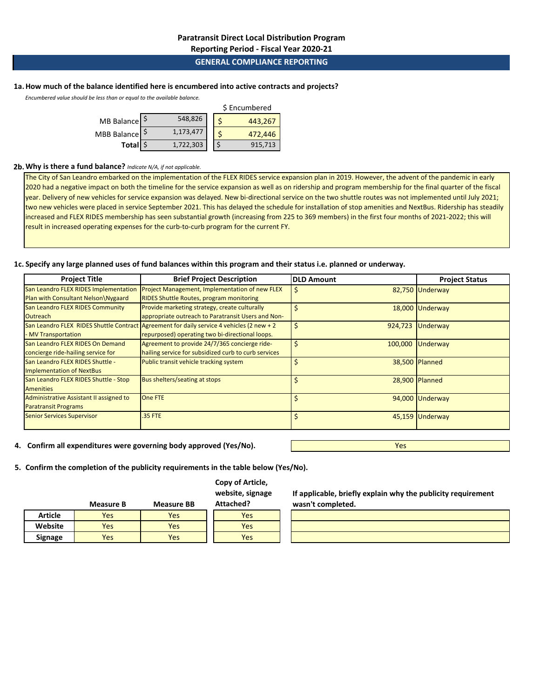**Reporting Period - Fiscal Year 2020-21**

## **GENERAL COMPLIANCE REPORTING**

### **1a.How much of the balance identified here is encumbered into active contracts and projects?**

*Encumbered value should be less than or equal to the available balance.* 

|              | \$ Encumbered |           |  |  |         |  |
|--------------|---------------|-----------|--|--|---------|--|
| MB Balance S |               | 548,826   |  |  | 443,267 |  |
| MBB Balance  |               | 1,173,477 |  |  | 472,446 |  |
| Total \$     |               | 1,722,303 |  |  | 915,713 |  |

#### **2b.Why is there a fund balance?** *Indicate N/A, if not applicable.*

The City of San Leandro embarked on the implementation of the FLEX RIDES service expansion plan in 2019. However, the advent of the pandemic in early 2020 had a negative impact on both the timeline for the service expansion as well as on ridership and program membership for the final quarter of the fiscal year. Delivery of new vehicles for service expansion was delayed. New bi-directional service on the two shuttle routes was not implemented until July 2021; two new vehicles were placed in service September 2021. This has delayed the schedule for installation of stop amenities and NextBus. Ridership has steadily increased and FLEX RIDES membership has seen substantial growth (increasing from 225 to 369 members) in the first four months of 2021-2022; this will result in increased operating expenses for the curb-to-curb program for the current FY.

### **1c. Specify any large planned uses of fund balances within this program and their status i.e. planned or underway.**

| <b>Project Title</b>                           | <b>Brief Project Description</b>                                                          | <b>DLD Amount</b> | <b>Project Status</b> |
|------------------------------------------------|-------------------------------------------------------------------------------------------|-------------------|-----------------------|
| San Leandro FLEX RIDES Implementation          | Project Management, Implementation of new FLEX                                            | S                 | 82,750 Underway       |
| Plan with Consultant Nelson\Nygaard            | <b>RIDES Shuttle Routes, program monitoring</b>                                           |                   |                       |
| San Leandro FLEX RIDES Community               | Provide marketing strategy, create culturally                                             |                   | 18,000 Underway       |
| <b>Outreach</b>                                | appropriate outreach to Paratransit Users and Non-                                        |                   |                       |
|                                                | San Leandro FLEX RIDES Shuttle Contract Agreement for daily service 4 vehicles (2 new + 2 | Ś<br>924,723      | Underway              |
| MV Transportation                              | repurposed) operating two bi-directional loops.                                           |                   |                       |
| San Leandro FLEX RIDES On Demand               | Agreement to provide 24/7/365 concierge ride-                                             | Ś<br>100,000      | Underway              |
| concierge ride-hailing service for             | hailing service for subsidized curb to curb services                                      |                   |                       |
| San Leandro FLEX RIDES Shuttle -               | Public transit vehicle tracking system                                                    | Ś                 | 38,500 Planned        |
| <b>Implementation of NextBus</b>               |                                                                                           |                   |                       |
| San Leandro FLEX RIDES Shuttle - Stop          | <b>Bus shelters/seating at stops</b>                                                      |                   | 28,900 Planned        |
| <b>Amenities</b>                               |                                                                                           |                   |                       |
| <b>Administrative Assistant II assigned to</b> | <b>One FTE</b>                                                                            |                   | 94,000 Underway       |
| <b>Paratransit Programs</b>                    |                                                                                           |                   |                       |
| <b>Senior Services Supervisor</b>              | .35 FTE                                                                                   |                   | 45,159 Underway       |
|                                                |                                                                                           |                   |                       |

**4. Confirm all expenditures were governing body approved (Yes/No).**

**5. Confirm the completion of the publicity requirements in the table below (Yes/No).**

## **Copy of Article, website, signage**

| s, signage | н аррш          |
|------------|-----------------|
| ר ב.       | القالمنم لمنادر |

|                | Measure B | <b>Measure BB</b> | Attached? |
|----------------|-----------|-------------------|-----------|
| Article        | Yes       | Yes               | Yes       |
| Website        | Yes       | Yes               | Yes       |
| <b>Signage</b> | Yes       | Yes               | Yes       |

**If applicable, briefly explain why the publicity requirement wasn't completed.**

Yes